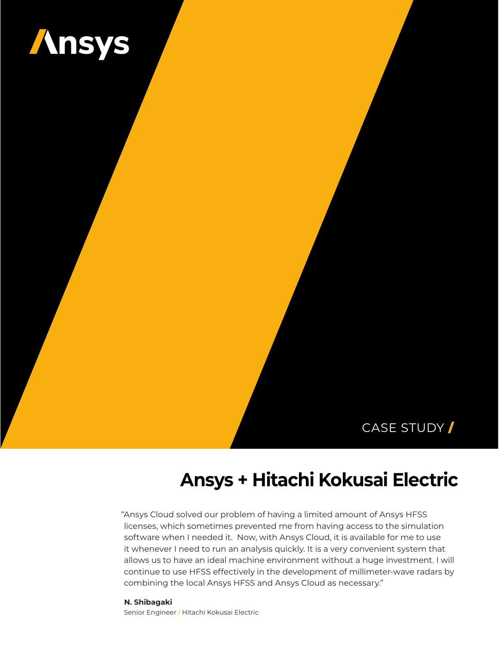

# CASE STUDY /

# **Ansys + Hitachi Kokusai Electric**

"Ansys Cloud solved our problem of having a limited amount of Ansys HFSS licenses, which sometimes prevented me from having access to the simulation software when I needed it. Now, with Ansys Cloud, it is available for me to use it whenever I need to run an analysis quickly. It is a very convenient system that allows us to have an ideal machine environment without a huge investment. I will continue to use HFSS effectively in the development of millimeter-wave radars by combining the local Ansys HFSS and Ansys Cloud as necessary."

#### **N. Shibagaki**

Senior Engineer / Hitachi Kokusai Electric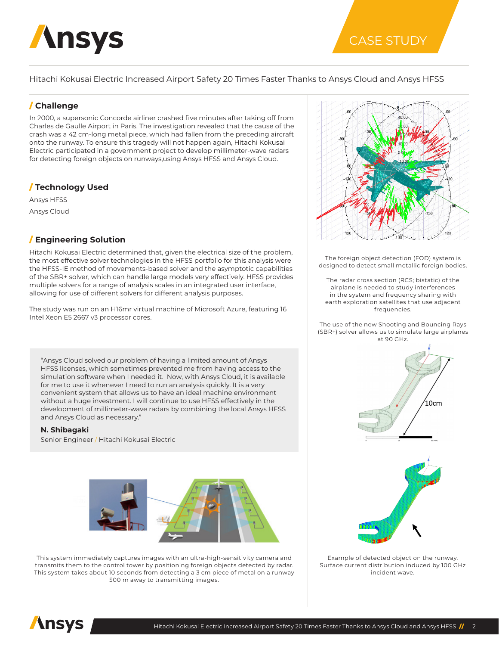

# CASE STUDY

Hitachi Kokusai Electric Increased Airport Safety 20 Times Faster Thanks to Ansys Cloud and Ansys HFSS

## / **Challenge**

In 2000, a supersonic Concorde airliner crashed five minutes after taking off from Charles de Gaulle Airport in Paris. The investigation revealed that the cause of the crash was a 42 cm-long metal piece, which had fallen from the preceding aircraft onto the runway. To ensure this tragedy will not happen again, Hitachi Kokusai Electric participated in a government project to develop millimeter-wave radars for detecting foreign objects on runways,using Ansys HFSS and Ansys Cloud.

# / **Technology Used**

Ansys HFSS Ansys Cloud

# / **Engineering Solution**

Hitachi Kokusai Electric determined that, given the electrical size of the problem, the most effective solver technologies in the HFSS portfolio for this analysis were the HFSS-IE method of movements-based solver and the asymptotic capabilities of the SBR+ solver, which can handle large models very effectively. HFSS provides multiple solvers for a range of analysis scales in an integrated user interface, allowing for use of different solvers for different analysis purposes.

The study was run on an H16mr virtual machine of Microsoft Azure, featuring 16 Intel Xeon E5 2667 v3 processor cores.

"Ansys Cloud solved our problem of having a limited amount of Ansys HFSS licenses, which sometimes prevented me from having access to the simulation software when I needed it. Now, with Ansys Cloud, it is available for me to use it whenever I need to run an analysis quickly. It is a very convenient system that allows us to have an ideal machine environment without a huge investment. I will continue to use HFSS effectively in the development of millimeter-wave radars by combining the local Ansys HFSS and Ansys Cloud as necessary."

**N. Shibagaki**

Senior Engineer / Hitachi Kokusai Electric



This system immediately captures images with an ultra-high-sensitivity camera and transmits them to the control tower by positioning foreign objects detected by radar. This system takes about 10 seconds from detecting a 3 cm piece of metal on a runway 500 m away to transmitting images.



The foreign object detection (FOD) system is designed to detect small metallic foreign bodies.

The radar cross section (RCS; bistatic) of the airplane is needed to study interferences in the system and frequency sharing with earth exploration satellites that use adjacent frequencies.

The use of the new Shooting and Bouncing Rays (SBR+) solver allows us to simulate large airplanes at 90 GHz.



Example of detected object on the runway. Surface current distribution induced by 100 GHz incident wave.